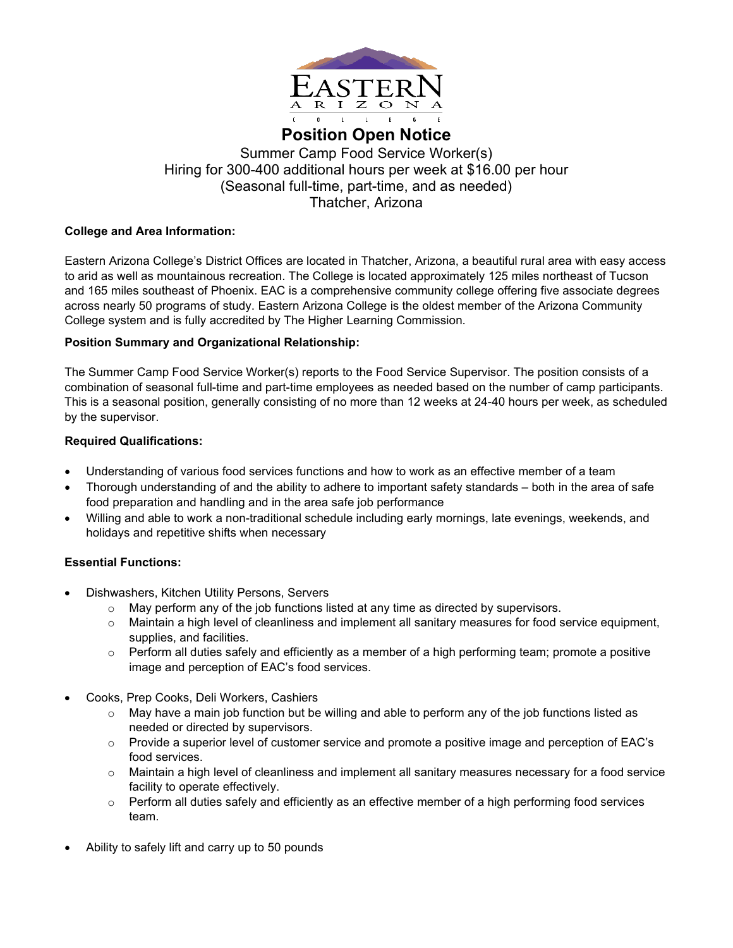

# **Position Open Notice** Summer Camp Food Service Worker(s) Hiring for 300-400 additional hours per week at \$16.00 per hour (Seasonal full-time, part-time, and as needed) Thatcher, Arizona

## **College and Area Information:**

Eastern Arizona College's District Offices are located in Thatcher, Arizona, a beautiful rural area with easy access to arid as well as mountainous recreation. The College is located approximately 125 miles northeast of Tucson and 165 miles southeast of Phoenix. EAC is a comprehensive community college offering five associate degrees across nearly 50 programs of study. Eastern Arizona College is the oldest member of the Arizona Community College system and is fully accredited by The Higher Learning Commission.

## **Position Summary and Organizational Relationship:**

The Summer Camp Food Service Worker(s) reports to the Food Service Supervisor. The position consists of a combination of seasonal full-time and part-time employees as needed based on the number of camp participants. This is a seasonal position, generally consisting of no more than 12 weeks at 24-40 hours per week, as scheduled by the supervisor.

## **Required Qualifications:**

- Understanding of various food services functions and how to work as an effective member of a team
- Thorough understanding of and the ability to adhere to important safety standards both in the area of safe food preparation and handling and in the area safe job performance
- Willing and able to work a non-traditional schedule including early mornings, late evenings, weekends, and holidays and repetitive shifts when necessary

## **Essential Functions:**

- Dishwashers, Kitchen Utility Persons, Servers
	- $\circ$  May perform any of the job functions listed at any time as directed by supervisors.
	- $\circ$  Maintain a high level of cleanliness and implement all sanitary measures for food service equipment, supplies, and facilities.
	- $\circ$  Perform all duties safely and efficiently as a member of a high performing team; promote a positive image and perception of EAC's food services.
- Cooks, Prep Cooks, Deli Workers, Cashiers
	- $\circ$  May have a main job function but be willing and able to perform any of the job functions listed as needed or directed by supervisors.
	- o Provide a superior level of customer service and promote a positive image and perception of EAC's food services.
	- $\circ$  Maintain a high level of cleanliness and implement all sanitary measures necessary for a food service facility to operate effectively.
	- $\circ$  Perform all duties safely and efficiently as an effective member of a high performing food services team.
- Ability to safely lift and carry up to 50 pounds